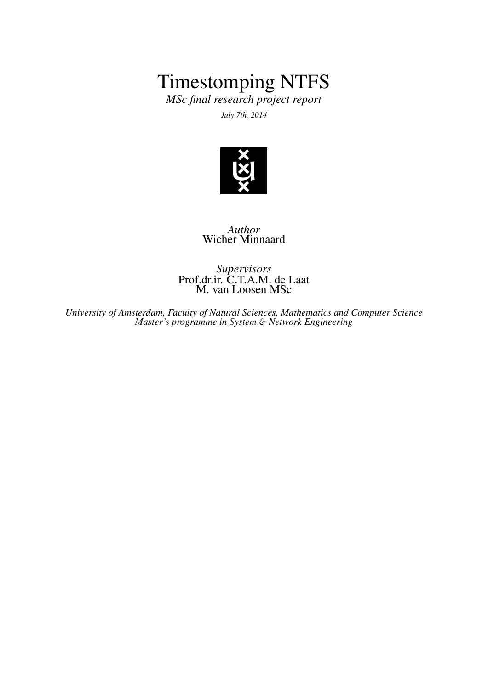# Timestomping NTFS

*MSc final research project report July 7th, 2014*



*Author* Wicher Minnaard

*Supervisors* Prof.dr.ir. C.T.A.M. de Laat M. van Loosen MSc

*University of Amsterdam, Faculty of Natural Sciences, Mathematics and Computer Science Master's programme in System* & *Network Engineering*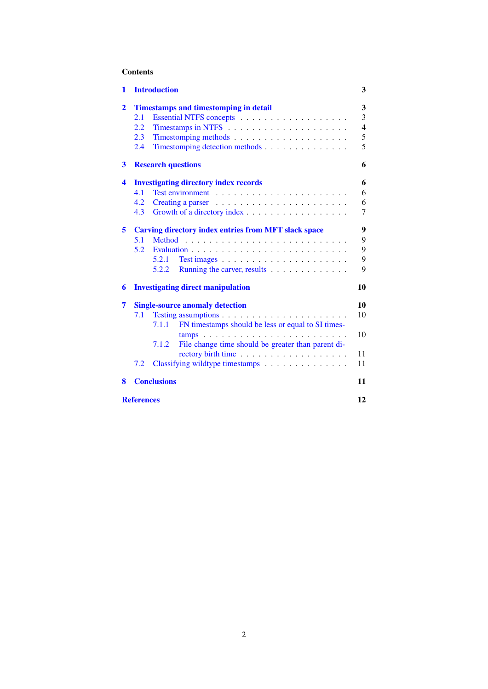# Contents

|     |                                                             | 3                                                                                                                                                                                                                                                                                                                                                |
|-----|-------------------------------------------------------------|--------------------------------------------------------------------------------------------------------------------------------------------------------------------------------------------------------------------------------------------------------------------------------------------------------------------------------------------------|
|     |                                                             | 3                                                                                                                                                                                                                                                                                                                                                |
| 2.1 |                                                             | 3                                                                                                                                                                                                                                                                                                                                                |
| 2.2 |                                                             | $\overline{4}$                                                                                                                                                                                                                                                                                                                                   |
| 2.3 |                                                             | 5                                                                                                                                                                                                                                                                                                                                                |
| 2.4 | Timestomping detection methods                              | 5                                                                                                                                                                                                                                                                                                                                                |
|     |                                                             | 6                                                                                                                                                                                                                                                                                                                                                |
|     |                                                             | 6                                                                                                                                                                                                                                                                                                                                                |
| 4.1 |                                                             | 6                                                                                                                                                                                                                                                                                                                                                |
| 4.2 |                                                             | 6                                                                                                                                                                                                                                                                                                                                                |
| 4.3 | Growth of a directory index                                 | 7                                                                                                                                                                                                                                                                                                                                                |
|     |                                                             | 9                                                                                                                                                                                                                                                                                                                                                |
| 5.1 |                                                             | 9                                                                                                                                                                                                                                                                                                                                                |
| 5.2 |                                                             | 9                                                                                                                                                                                                                                                                                                                                                |
|     | 5.2.1                                                       | 9                                                                                                                                                                                                                                                                                                                                                |
|     | 5.2.2<br>Running the carver, results                        | 9                                                                                                                                                                                                                                                                                                                                                |
|     |                                                             | 10                                                                                                                                                                                                                                                                                                                                               |
|     |                                                             | 10                                                                                                                                                                                                                                                                                                                                               |
| 7.1 |                                                             | 10                                                                                                                                                                                                                                                                                                                                               |
|     | FN timestamps should be less or equal to SI times-<br>7.1.1 |                                                                                                                                                                                                                                                                                                                                                  |
|     |                                                             | 10                                                                                                                                                                                                                                                                                                                                               |
|     | 7.1.2<br>File change time should be greater than parent di- |                                                                                                                                                                                                                                                                                                                                                  |
|     |                                                             | 11                                                                                                                                                                                                                                                                                                                                               |
| 7.2 | Classifying wildtype timestamps                             | 11                                                                                                                                                                                                                                                                                                                                               |
|     |                                                             | 11                                                                                                                                                                                                                                                                                                                                               |
|     |                                                             | 12                                                                                                                                                                                                                                                                                                                                               |
|     |                                                             | <b>Introduction</b><br><b>Timestamps and timestomping in detail</b><br><b>Research questions</b><br><b>Investigating directory index records</b><br><b>Carving directory index entries from MFT slack space</b><br><b>Investigating direct manipulation</b><br><b>Single-source anomaly detection</b><br><b>Conclusions</b><br><b>References</b> |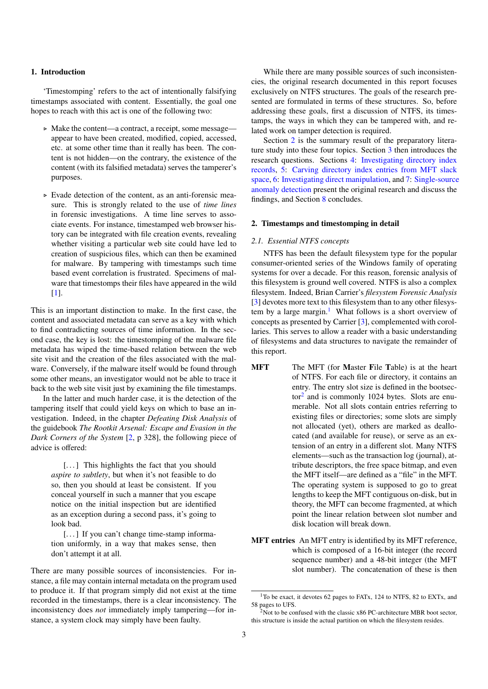## <span id="page-2-0"></span>1. Introduction

'Timestomping' refers to the act of intentionally falsifying timestamps associated with content. Essentially, the goal one hopes to reach with this act is one of the following two:

- . Make the content—a contract, a receipt, some message appear to have been created, modified, copied, accessed, etc. at some other time than it really has been. The content is not hidden—on the contrary, the existence of the content (with its falsified metadata) serves the tamperer's purposes.
- $\triangleright$  Evade detection of the content, as an anti-forensic measure. This is strongly related to the use of *time lines* in forensic investigations. A time line serves to associate events. For instance, timestamped web browser history can be integrated with file creation events, revealing whether visiting a particular web site could have led to creation of suspicious files, which can then be examined for malware. By tampering with timestamps such time based event correlation is frustrated. Specimens of malware that timestomps their files have appeared in the wild [\[1\]](#page-11-1).

This is an important distinction to make. In the first case, the content and associated metadata can serve as a key with which to find contradicting sources of time information. In the second case, the key is lost: the timestomping of the malware file metadata has wiped the time-based relation between the web site visit and the creation of the files associated with the malware. Conversely, if the malware itself would be found through some other means, an investigator would not be able to trace it back to the web site visit just by examining the file timestamps.

In the latter and much harder case, it is the detection of the tampering itself that could yield keys on which to base an investigation. Indeed, in the chapter *Defeating Disk Analysis* of the guidebook *The Rootkit Arsenal: Escape and Evasion in the Dark Corners of the System* [\[2,](#page-11-2) p 328], the following piece of advice is offered:

[...] This highlights the fact that you should *aspire to subtlety*, but when it's not feasible to do so, then you should at least be consistent. If you conceal yourself in such a manner that you escape notice on the initial inspection but are identified as an exception during a second pass, it's going to look bad.

[...] If you can't change time-stamp information uniformly, in a way that makes sense, then don't attempt it at all.

There are many possible sources of inconsistencies. For instance, a file may contain internal metadata on the program used to produce it. If that program simply did not exist at the time recorded in the timestamps, there is a clear inconsistency. The inconsistency does *not* immediately imply tampering—for instance, a system clock may simply have been faulty.

While there are many possible sources of such inconsistencies, the original research documented in this report focuses exclusively on NTFS structures. The goals of the research presented are formulated in terms of these structures. So, before addressing these goals, first a discussion of NTFS, its timestamps, the ways in which they can be tampered with, and related work on tamper detection is required.

Section [2](#page-2-1) is the summary result of the preparatory literature study into these four topics. Section [3](#page-5-0) then introduces the research questions. Sections [4:](#page-5-1) [Investigating directory index](#page-5-1) [records,](#page-5-1) [5:](#page-8-0) [Carving directory index entries from MFT slack](#page-8-0) [space,](#page-8-0) [6:](#page-9-0) [Investigating direct manipulation,](#page-9-0) and [7:](#page-9-1) [Single-source](#page-9-1) [anomaly detection](#page-9-1) present the original research and discuss the findings, and Section [8](#page-10-2) concludes.

## <span id="page-2-1"></span>2. Timestamps and timestomping in detail

## <span id="page-2-2"></span>*2.1. Essential NTFS concepts*

NTFS has been the default filesystem type for the popular consumer-oriented series of the Windows family of operating systems for over a decade. For this reason, forensic analysis of this filesystem is ground well covered. NTFS is also a complex filesystem. Indeed, Brian Carrier's *filesystem Forensic Analysis* [\[3\]](#page-11-3) devotes more text to this filesystem than to any other filesys-tem by a large margin.<sup>[1](#page-2-3)</sup> What follows is a short overview of concepts as presented by Carrier [\[3\]](#page-11-3), complemented with corollaries. This serves to allow a reader with a basic understanding of filesystems and data structures to navigate the remainder of this report.

- MFT The MFT (for Master File Table) is at the heart of NTFS. For each file or directory, it contains an entry. The entry slot size is defined in the bootsec-tor<sup>[2](#page-2-4)</sup> and is commonly 1024 bytes. Slots are enumerable. Not all slots contain entries referring to existing files or directories; some slots are simply not allocated (yet), others are marked as deallocated (and available for reuse), or serve as an extension of an entry in a different slot. Many NTFS elements—such as the transaction log (journal), attribute descriptors, the free space bitmap, and even the MFT itself—are defined as a "file" in the MFT. The operating system is supposed to go to great lengths to keep the MFT contiguous on-disk, but in theory, the MFT can become fragmented, at which point the linear relation between slot number and disk location will break down.
- MFT entries An MFT entry is identified by its MFT reference, which is composed of a 16-bit integer (the record sequence number) and a 48-bit integer (the MFT slot number). The concatenation of these is then

<span id="page-2-3"></span><sup>&</sup>lt;sup>1</sup>To be exact, it devotes 62 pages to FATx, 124 to NTFS, 82 to EXTx, and 58 pages to UFS.

<span id="page-2-4"></span> $2$ Not to be confused with the classic x86 PC-architecture MBR boot sector, this structure is inside the actual partition on which the filesystem resides.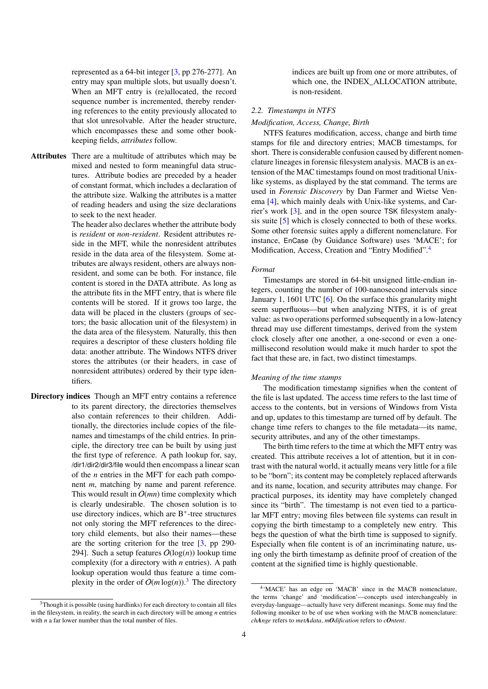represented as a 64-bit integer [\[3,](#page-11-3) pp 276-277]. An entry may span multiple slots, but usually doesn't. When an MFT entry is (re)allocated, the record sequence number is incremented, thereby rendering references to the entity previously allocated to that slot unresolvable. After the header structure, which encompasses these and some other bookkeeping fields, *attributes* follow.

Attributes There are a multitude of attributes which may be mixed and nested to form meaningful data structures. Attribute bodies are preceded by a header of constant format, which includes a declaration of the attribute size. Walking the attributes is a matter of reading headers and using the size declarations to seek to the next header.

> The header also declares whether the attribute body is *resident* or *non-resident*. Resident attributes reside in the MFT, while the nonresident attributes reside in the data area of the filesystem. Some attributes are always resident, others are always nonresident, and some can be both. For instance, file content is stored in the DATA attribute. As long as the attribute fits in the MFT entry, that is where file contents will be stored. If it grows too large, the data will be placed in the clusters (groups of sectors; the basic allocation unit of the filesystem) in the data area of the filesystem. Naturally, this then requires a descriptor of these clusters holding file data: another attribute. The Windows NTFS driver stores the attributes (or their headers, in case of nonresident attributes) ordered by their type identifiers.

Directory indices Though an MFT entry contains a reference to its parent directory, the directories themselves also contain references to their children. Additionally, the directories include copies of the filenames and timestamps of the child entries. In principle, the directory tree can be built by using just the first type of reference. A path lookup for, say, /dir1/dir2/dir3/file would then encompass a linear scan of the *n* entries in the MFT for each path component *m*, matching by name and parent reference. This would result in  $O(mn)$  time complexity which is clearly undesirable. The chosen solution is to use directory indices, which are B<sup>+</sup>-tree structures not only storing the MFT references to the directory child elements, but also their names—these are the sorting criterion for the tree [\[3,](#page-11-3) pp 290- 294]. Such a setup features  $O(log(n))$  lookup time complexity (for a directory with *n* entries). A path lookup operation would thus feature a time complexity in the order of  $O(m \log(n))$ .<sup>[3](#page-3-1)</sup> The directory

indices are built up from one or more attributes, of which one, the INDEX\_ALLOCATION attribute, is non-resident.

# <span id="page-3-0"></span>*2.2. Timestamps in NTFS*

# <span id="page-3-3"></span>*Modification, Access, Change, Birth*

NTFS features modification, access, change and birth time stamps for file and directory entries; MACB timestamps, for short. There is considerable confusion caused by different nomenclature lineages in forensic filesystem analysis. MACB is an extension of the MAC timestamps found on most traditional Unixlike systems, as displayed by the stat command. The terms are used in *Forensic Discovery* by Dan Farmer and Wietse Venema [\[4\]](#page-11-4), which mainly deals with Unix-like systems, and Carrier's work [\[3\]](#page-11-3), and in the open source TSK filesystem analysis suite [\[5\]](#page-11-5) which is closely connected to both of these works. Some other forensic suites apply a different nomenclature. For instance, EnCase (by Guidance Software) uses 'MACE'; for Modification, Access, Creation and "Entry Modified".[4](#page-3-2)

## <span id="page-3-4"></span>*Format*

Timestamps are stored in 64-bit unsigned little-endian integers, counting the number of 100-nanosecond intervals since January 1, 1601 UTC [\[6\]](#page-11-6). On the surface this granularity might seem superfluous—but when analyzing NTFS, it is of great value: as two operations performed subsequently in a low-latency thread may use different timestamps, derived from the system clock closely after one another, a one-second or even a onemillisecond resolution would make it much harder to spot the fact that these are, in fact, two distinct timestamps.

## <span id="page-3-5"></span>*Meaning of the time stamps*

The modification timestamp signifies when the content of the file is last updated. The access time refers to the last time of access to the contents, but in versions of Windows from Vista and up, updates to this timestamp are turned off by default. The change time refers to changes to the file metadata—its name, security attributes, and any of the other timestamps.

The birth time refers to the time at which the MFT entry was created. This attribute receives a lot of attention, but it in contrast with the natural world, it actually means very little for a file to be "born"; its content may be completely replaced afterwards and its name, location, and security attributes may change. For practical purposes, its identity may have completely changed since its "birth". The timestamp is not even tied to a particular MFT entry; moving files between file systems can result in copying the birth timestamp to a completely new entry. This begs the question of what the birth time is supposed to signify. Especially when file content is of an incriminating nature, using only the birth timestamp as definite proof of creation of the content at the signified time is highly questionable.

<span id="page-3-1"></span><sup>&</sup>lt;sup>3</sup>Though it is possible (using hardlinks) for each directory to contain all files in the filesystem, in reality, the search in each directory will be among *n* entries with *n* a far lower number than the total number of files.

<span id="page-3-2"></span><sup>4</sup> 'MACE' has an edge on 'MACB' since in the MACB nomenclature, the terms 'change' and 'modification'—concepts used interchangeably in everyday-language—actually have very different meanings. Some may find the following moniker to be of use when working with the MACB nomenclature: *chAnge* refers to *metAdata*, *mOdification* refers to *cOntent*.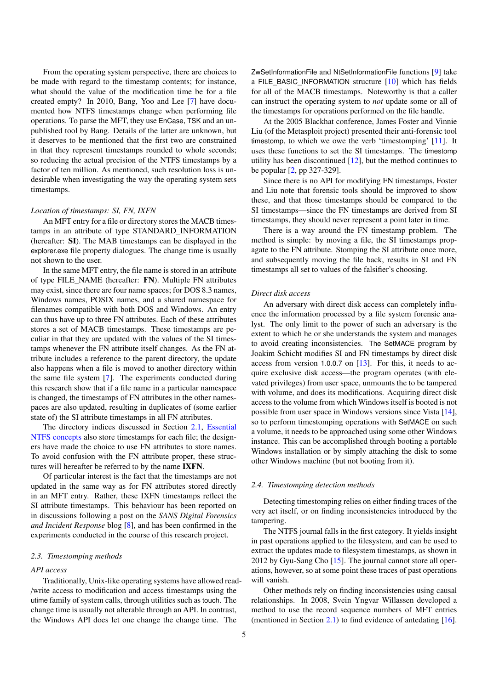From the operating system perspective, there are choices to be made with regard to the timestamp contents; for instance, what should the value of the modification time be for a file created empty? In 2010, Bang, Yoo and Lee [\[7\]](#page-11-7) have documented how NTFS timestamps change when performing file operations. To parse the MFT, they use EnCase, TSK and an unpublished tool by Bang. Details of the latter are unknown, but it deserves to be mentioned that the first two are constrained in that they represent timestamps rounded to whole seconds; so reducing the actual precision of the NTFS timestamps by a factor of ten million. As mentioned, such resolution loss is undesirable when investigating the way the operating system sets timestamps.

# <span id="page-4-3"></span>*Location of timestamps: SI, FN, IXFN*

An MFT entry for a file or directory stores the MACB timestamps in an attribute of type STANDARD\_INFORMATION (hereafter: SI). The MAB timestamps can be displayed in the explorer.exe file property dialogues. The change time is usually not shown to the user.

In the same MFT entry, the file name is stored in an attribute of type FILE\_NAME (hereafter: FN). Multiple FN attributes may exist, since there are four name spaces; for DOS 8.3 names, Windows names, POSIX names, and a shared namespace for filenames compatible with both DOS and Windows. An entry can thus have up to three FN attributes. Each of these attributes stores a set of MACB timestamps. These timestamps are peculiar in that they are updated with the values of the SI timestamps whenever the FN attribute itself changes. As the FN attribute includes a reference to the parent directory, the update also happens when a file is moved to another directory within the same file system [\[7\]](#page-11-7). The experiments conducted during this research show that if a file name in a particular namespace is changed, the timestamps of FN attributes in the other namespaces are also updated, resulting in duplicates of (some earlier state of) the SI attribute timestamps in all FN attributes.

The directory indices discussed in Section [2.1,](#page-2-2) [Essential](#page-2-2) [NTFS concepts](#page-2-2) also store timestamps for each file; the designers have made the choice to use FN attributes to store names. To avoid confusion with the FN attribute proper, these structures will hereafter be referred to by the name IXFN.

Of particular interest is the fact that the timestamps are not updated in the same way as for FN attributes stored directly in an MFT entry. Rather, these IXFN timestamps reflect the SI attribute timestamps. This behaviour has been reported on in discussions following a post on the *SANS Digital Forensics and Incident Response* blog [\[8\]](#page-11-8), and has been confirmed in the experiments conducted in the course of this research project.

#### <span id="page-4-0"></span>*2.3. Timestomping methods*

## <span id="page-4-2"></span>*API access*

Traditionally, Unix-like operating systems have allowed read- /write access to modification and access timestamps using the utime family of system calls, through utilities such as touch. The change time is usually not alterable through an API. In contrast, the Windows API does let one change the change time. The

ZwSetInformationFile and NtSetInformationFile functions [\[9\]](#page-11-9) take a FILE\_BASIC\_INFORMATION structure [\[10\]](#page-11-10) which has fields for all of the MACB timestamps. Noteworthy is that a caller can instruct the operating system to *not* update some or all of the timestamps for operations performed on the file handle.

At the 2005 Blackhat conference, James Foster and Vinnie Liu (of the Metasploit project) presented their anti-forensic tool timestomp, to which we owe the verb 'timestomping' [\[11\]](#page-11-11). It uses these functions to set the SI timestamps. The timestomp utility has been discontinued [\[12\]](#page-11-12), but the method continues to be popular [\[2,](#page-11-2) pp 327-329].

Since there is no API for modifying FN timestamps, Foster and Liu note that forensic tools should be improved to show these, and that those timestamps should be compared to the SI timestamps—since the FN timestamps are derived from SI timestamps, they should never represent a point later in time.

There is a way around the FN timestamp problem. The method is simple: by moving a file, the SI timestamps propagate to the FN attribute. Stomping the SI attribute once more, and subsequently moving the file back, results in SI and FN timestamps all set to values of the falsifier's choosing.

#### <span id="page-4-4"></span>*Direct disk access*

An adversary with direct disk access can completely influence the information processed by a file system forensic analyst. The only limit to the power of such an adversary is the extent to which he or she understands the system and manages to avoid creating inconsistencies. The SetMACE program by Joakim Schicht modifies SI and FN timestamps by direct disk access from version 1.0.0.7 on [\[13\]](#page-11-13). For this, it needs to acquire exclusive disk access—the program operates (with elevated privileges) from user space, unmounts the to be tampered with volume, and does its modifications. Acquiring direct disk access to the volume from which Windows itself is booted is not possible from user space in Windows versions since Vista [\[14\]](#page-11-14), so to perform timestomping operations with SetMACE on such a volume, it needs to be approached using some other Windows instance. This can be accomplished through booting a portable Windows installation or by simply attaching the disk to some other Windows machine (but not booting from it).

## <span id="page-4-1"></span>*2.4. Timestomping detection methods*

Detecting timestomping relies on either finding traces of the very act itself, or on finding inconsistencies introduced by the tampering.

The NTFS journal falls in the first category. It yields insight in past operations applied to the filesystem, and can be used to extract the updates made to filesystem timestamps, as shown in 2012 by Gyu-Sang Cho [\[15\]](#page-11-15). The journal cannot store all operations, however, so at some point these traces of past operations will vanish.

Other methods rely on finding inconsistencies using causal relationships. In 2008, Svein Yngvar Willassen developed a method to use the record sequence numbers of MFT entries (mentioned in Section [2.1\)](#page-2-2) to find evidence of antedating [\[16\]](#page-11-16).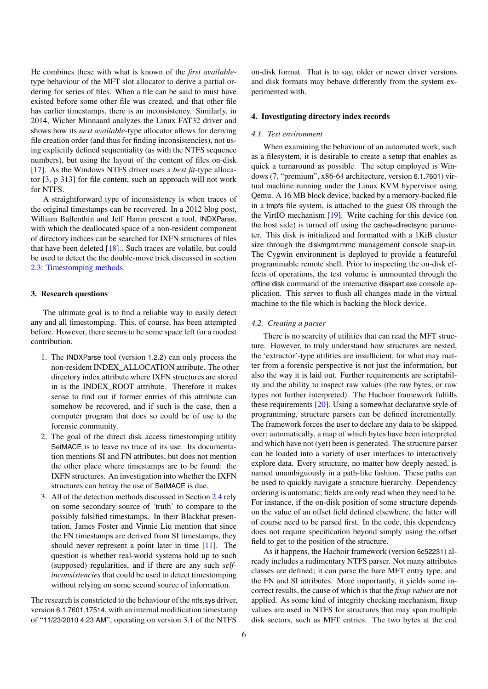He combines these with what is known of the *first available*type behaviour of the MFT slot allocator to derive a partial ordering for series of files. When a file can be said to must have existed before some other file was created, and that other file has earlier timestamps, there is an inconsistency. Similarly, in 2014, Wicher Minnaard analyzes the Linux FAT32 driver and shows how its *next available*-type allocator allows for deriving file creation order (and thus for finding inconsistencies), not using explicitly defined sequentiality (as with the NTFS sequence numbers), but using the layout of the content of files on-disk [\[17\]](#page-11-17). As the Windows NTFS driver uses a *best fit*-type allocator [\[3,](#page-11-3) p 313] for file content, such an approach will not work for NTFS.

A straightforward type of inconsistency is when traces of the original timestamps can be recovered. In a 2012 blog post, William Ballenthin and Jeff Hamn present a tool, INDXParse, with which the deallocated space of a non-resident component of directory indices can be searched for IXFN structures of files that have been deleted [\[18\]](#page-11-18).. Such traces are volatile, but could be used to detect the the double-move trick discussed in section [2.3:](#page-4-0) [Timestomping methods.](#page-4-0)

## <span id="page-5-0"></span>3. Research questions

The ultimate goal is to find a reliable way to easily detect any and all timestomping. This, of course, has been attempted before. However, there seems to be some space left for a modest contribution.

- 1. The INDXParse tool (version 1.2.2) can only process the non-resident INDEX\_ALLOCATION attribute. The other directory index attribute where IXFN structures are stored in is the INDEX\_ROOT attribute. Therefore it makes sense to find out if former entries of this attribute can somehow be recovered, and if such is the case, then a computer program that does so could be of use to the forensic community.
- 2. The goal of the direct disk access timestomping utility SetMACE is to leave no trace of its use. Its documentation mentions SI and FN attributes, but does not mention the other place where timestamps are to be found: the IXFN structures. An investigation into whether the IXFN structures can betray the use of SetMACE is due.
- <span id="page-5-4"></span>3. All of the detection methods discussed in Section [2.4](#page-4-1) rely on some secondary source of 'truth' to compare to the possibly falsified timestamps. In their Blackhat presentation, James Foster and Vinnie Liu mention that since the FN timestamps are derived from SI timestamps, they should never represent a point later in time [\[11\]](#page-11-11). The question is whether real-world systems hold up to such (supposed) regularities, and if there are any such *selfinconsistencies* that could be used to detect timestomping without relying on some second source of information.

The research is constricted to the behaviour of the ntfs.sys driver, version 6.1.7601.17514, with an internal modification timestamp of "11/23/2010 4:23 AM", operating on version 3.1 of the NTFS

on-disk format. That is to say, older or newer driver versions and disk formats may behave differently from the system experimented with.

#### <span id="page-5-1"></span>4. Investigating directory index records

## <span id="page-5-2"></span>*4.1. Test environment*

When examining the behaviour of an automated work, such as a filesystem, it is desirable to create a setup that enables as quick a turnaround as possible. The setup employed is Windows (7, "premium", x86-64 architecture, version 6.1.7601) virtual machine running under the Linux KVM hypervisor using Qemu. A 16 MB block device, backed by a memory-backed file in a tmpfs file system, is attached to the guest OS through the the VirtIO mechanism [\[19\]](#page-11-19). Write caching for this device (on the host side) is turned off using the cache=directsync parameter. This disk is initialized and formatted with a 1KiB cluster size through the diskmgmt.mmc management console snap-in. The Cygwin environment is deployed to provide a featureful programmable remote shell. Prior to inspecting the on-disk effects of operations, the test volume is unmounted through the offline disk command of the interactive diskpart.exe console application. This serves to flush all changes made in the virtual machine to the file which is backing the block device.

#### <span id="page-5-3"></span>*4.2. Creating a parser*

There is no scarcity of utilities that can read the MFT structure. However, to truly understand how structures are nested, the 'extractor'-type utilities are insufficient, for what may matter from a forensic perspective is not just the information, but also the way it is laid out. Further requirements are scriptability and the ability to inspect raw values (the raw bytes, or raw types not further interpreted). The Hachoir framework fulfills these requirements [\[20\]](#page-11-20). Using a somewhat declarative style of programming, structure parsers can be defined incrementally. The framework forces the user to declare any data to be skipped over; automatically, a map of which bytes have been interpreted and which have not (yet) been is generated. The structure parser can be loaded into a variety of user interfaces to interactively explore data. Every structure, no matter how deeply nested, is named unambiguously in a path-like fashion. These paths can be used to quickly navigate a structure hierarchy. Dependency ordering is automatic; fields are only read when they need to be. For instance, if the on-disk position of some structure depends on the value of an offset field defined elsewhere, the latter will of course need to be parsed first. In the code, this dependency does not require specification beyond simply using the offset field to get to the position of the structure.

As it happens, the Hachoir framework (version 6c52231) already includes a rudimentary NTFS parser. Not many attributes classes are defined; it can parse the bare MFT entry type, and the FN and SI attributes. More importantly, it yields some incorrect results, the cause of which is that the *fixup values* are not applied. As some kind of integrity checking mechanism, fixup values are used in NTFS for structures that may span multiple disk sectors, such as MFT entries. The two bytes at the end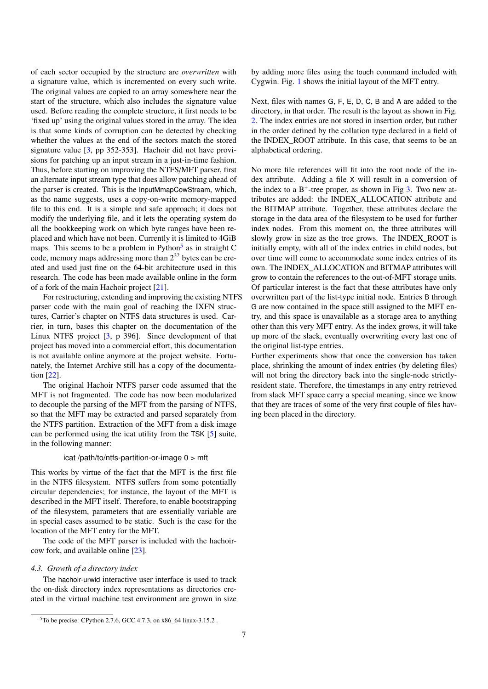of each sector occupied by the structure are *overwritten* with a signature value, which is incremented on every such write. The original values are copied to an array somewhere near the start of the structure, which also includes the signature value used. Before reading the complete structure, it first needs to be 'fixed up' using the original values stored in the array. The idea is that some kinds of corruption can be detected by checking whether the values at the end of the sectors match the stored signature value [\[3,](#page-11-3) pp 352-353]. Hachoir did not have provisions for patching up an input stream in a just-in-time fashion. Thus, before starting on improving the NTFS/MFT parser, first an alternate input stream type that does allow patching ahead of the parser is created. This is the InputMmapCowStream, which, as the name suggests, uses a copy-on-write memory-mapped file to this end. It is a simple and safe approach; it does not modify the underlying file, and it lets the operating system do all the bookkeeping work on which byte ranges have been replaced and which have not been. Currently it is limited to 4GiB maps. This seems to be a problem in Python<sup>[5](#page-6-1)</sup> as in straight C code, memory maps addressing more than 2<sup>32</sup> bytes can be created and used just fine on the 64-bit architecture used in this research. The code has been made available online in the form of a fork of the main Hachoir project [\[21\]](#page-11-21).

For restructuring, extending and improving the existing NTFS parser code with the main goal of reaching the IXFN structures, Carrier's chapter on NTFS data structures is used. Carrier, in turn, bases this chapter on the documentation of the Linux NTFS project [\[3,](#page-11-3) p 396]. Since development of that project has moved into a commercial effort, this documentation is not available online anymore at the project website. Fortunately, the Internet Archive still has a copy of the documentation [\[22\]](#page-11-22).

The original Hachoir NTFS parser code assumed that the MFT is not fragmented. The code has now been modularized to decouple the parsing of the MFT from the parsing of NTFS, so that the MFT may be extracted and parsed separately from the NTFS partition. Extraction of the MFT from a disk image can be performed using the icat utility from the TSK [\[5\]](#page-11-5) suite, in the following manner:

#### icat /path/to/ntfs-partition-or-image 0 > mft

This works by virtue of the fact that the MFT is the first file in the NTFS filesystem. NTFS suffers from some potentially circular dependencies; for instance, the layout of the MFT is described in the MFT itself. Therefore, to enable bootstrapping of the filesystem, parameters that are essentially variable are in special cases assumed to be static. Such is the case for the location of the MFT entry for the MFT.

The code of the MFT parser is included with the hachoircow fork, and available online [\[23\]](#page-11-23).

#### <span id="page-6-0"></span>*4.3. Growth of a directory index*

The hachoir-urwid interactive user interface is used to track the on-disk directory index representations as directories created in the virtual machine test environment are grown in size

by adding more files using the touch command included with Cygwin. Fig. [1](#page-7-0) shows the initial layout of the MFT entry.

Next, files with names G, F, E, D, C, B and A are added to the directory, in that order. The result is the layout as shown in Fig. [2.](#page-7-1) The index entries are not stored in insertion order, but rather in the order defined by the collation type declared in a field of the INDEX\_ROOT attribute. In this case, that seems to be an alphabetical ordering.

No more file references will fit into the root node of the index attribute. Adding a file X will result in a conversion of the index to a  $B^+$ -tree proper, as shown in Fig [3.](#page-7-2) Two new attributes are added: the INDEX\_ALLOCATION attribute and the BITMAP attribute. Together, these attributes declare the storage in the data area of the filesystem to be used for further index nodes. From this moment on, the three attributes will slowly grow in size as the tree grows. The INDEX\_ROOT is initially empty, with all of the index entries in child nodes, but over time will come to accommodate some index entries of its own. The INDEX\_ALLOCATION and BITMAP attributes will grow to contain the references to the out-of-MFT storage units. Of particular interest is the fact that these attributes have only overwritten part of the list-type initial node. Entries B through G are now contained in the space still assigned to the MFT entry, and this space is unavailable as a storage area to anything other than this very MFT entry. As the index grows, it will take up more of the slack, eventually overwriting every last one of the original list-type entries.

Further experiments show that once the conversion has taken place, shrinking the amount of index entries (by deleting files) will not bring the directory back into the single-node strictlyresident state. Therefore, the timestamps in any entry retrieved from slack MFT space carry a special meaning, since we know that they are traces of some of the very first couple of files having been placed in the directory.

<span id="page-6-1"></span><sup>5</sup>To be precise: CPython 2.7.6, GCC 4.7.3, on x86\_64 linux-3.15.2 .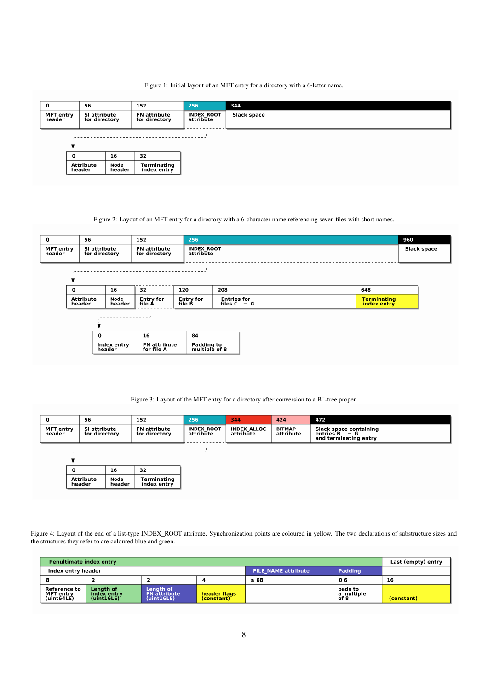## <span id="page-7-0"></span>Figure 1: Initial layout of an MFT entry for a directory with a 6-letter name.

| $\mathbf{o}$        | 56                            |                | 152                                  | 256                            | 344                |
|---------------------|-------------------------------|----------------|--------------------------------------|--------------------------------|--------------------|
| MFT entry<br>header | SI attribute<br>for directory |                | <b>FN</b> attribute<br>for directory | <b>INDEX ROOT</b><br>attribūte | <b>Slack space</b> |
|                     |                               |                |                                      |                                |                    |
|                     |                               |                |                                      |                                |                    |
|                     | $\mathbf 0$                   | 16             | 32                                   |                                |                    |
|                     | <b>Attribute</b><br>header    | Node<br>header | Terminating<br>index entry           |                                |                    |

<span id="page-7-1"></span>Figure 2: Layout of an MFT entry for a directory with a 6-character name referencing seven files with short names.

| 56<br>$\mathbf 0$<br>152<br><b>MFT</b> entry<br>SI attribute<br><b>FN</b> attribute<br>header<br>for directory<br>for directory |                            | 256                   | <b>INDEX ROOT</b><br>attribūte    |                             |                                     |                                   |  |
|---------------------------------------------------------------------------------------------------------------------------------|----------------------------|-----------------------|-----------------------------------|-----------------------------|-------------------------------------|-----------------------------------|--|
|                                                                                                                                 |                            |                       |                                   |                             |                                     |                                   |  |
|                                                                                                                                 |                            |                       |                                   |                             |                                     |                                   |  |
|                                                                                                                                 | 16<br>32<br>$\mathbf 0$    |                       | 120                               | 208                         | 648                                 |                                   |  |
|                                                                                                                                 | <b>Attribute</b><br>header | Node<br>header        | <b>Entry for</b><br>file A        | <b>Entry for</b><br>file B  | <b>Entries for</b><br>files $C - G$ | <b>Terminating</b><br>index entry |  |
|                                                                                                                                 |                            |                       |                                   |                             |                                     |                                   |  |
|                                                                                                                                 |                            | $\Omega$              | 16                                | 84                          |                                     |                                   |  |
|                                                                                                                                 |                            | Index entry<br>header | <b>FN</b> attribute<br>for file A | Padding to<br>multiple of 8 |                                     |                                   |  |

<span id="page-7-2"></span>Figure 3: Layout of the MFT entry for a directory after conversion to a B<sup>+</sup>-tree proper.

| $\mathbf 0$                | 56<br>152                                                             |                            | 424<br>256<br>344              |                                 |                            | 472                                                                 |
|----------------------------|-----------------------------------------------------------------------|----------------------------|--------------------------------|---------------------------------|----------------------------|---------------------------------------------------------------------|
| <b>MFT</b> entry<br>header | SI attribute<br><b>FN</b> attribute<br>for directory<br>for directory |                            | <b>INDEX ROOT</b><br>attribute | <b>INDEX ALLOC</b><br>attribūte | <b>BITMAP</b><br>attribute | Slack space containing<br>entries B<br>— G<br>and terminating entry |
|                            |                                                                       |                            |                                |                                 |                            |                                                                     |
|                            |                                                                       |                            |                                |                                 |                            |                                                                     |
| 0                          | 16                                                                    | 32                         |                                |                                 |                            |                                                                     |
|                            | <b>Attribute</b><br>Node<br>header<br>header                          | Terminating<br>index entry |                                |                                 |                            |                                                                     |

<span id="page-7-3"></span>Figure 4: Layout of the end of a list-type INDEX\_ROOT attribute. Synchronization points are coloured in yellow. The two declarations of substructure sizes and the structures they refer to are coloured blue and green.

| Penultimate index entry                        | Last (empty) entry                            |                                                |              |                            |                               |            |
|------------------------------------------------|-----------------------------------------------|------------------------------------------------|--------------|----------------------------|-------------------------------|------------|
| Index entry header                             |                                               |                                                |              | <b>FILE NAME attribute</b> | Padding                       |            |
|                                                |                                               |                                                | д            | $\geq 68$                  | $0 - 6$                       | 16         |
| <b>Reference to</b><br>MFT entrv<br>(iint64LE) | <b>Lenath of</b><br>index entry<br>(uint16LE) | Length of<br><b>FN</b> attribute<br>(iint16LE) | header flags |                            | pads to<br>a multiple<br>of 8 | (constant) |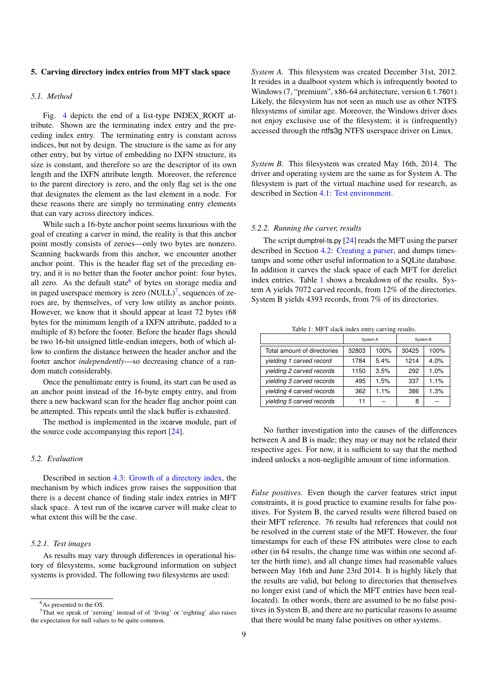## <span id="page-8-0"></span>5. Carving directory index entries from MFT slack space

## <span id="page-8-1"></span>*5.1. Method*

Fig. [4](#page-7-3) depicts the end of a list-type INDEX\_ROOT attribute. Shown are the terminating index entry and the preceding index entry. The terminating entry is constant across indices, but not by design. The structure is the same as for any other entry, but by virtue of embedding no IXFN structure, its size is constant, and therefore so are the descriptor of its own length and the IXFN attribute length. Moreover, the reference to the parent directory is zero, and the only flag set is the one that designates the element as the last element in a node. For these reasons there are simply no terminating entry elements that can vary across directory indices.

While such a 16-byte anchor point seems luxurious with the goal of creating a carver in mind, the reality is that this anchor point mostly consists of zeroes—only two bytes are nonzero. Scanning backwards from this anchor, we encounter another anchor point. This is the header flag set of the preceding entry, and it is no better than the footer anchor point: four bytes, all zero. As the default state<sup>[6](#page-8-5)</sup> of bytes on storage media and in paged userspace memory is zero  $(NULL)^7$  $(NULL)^7$ , sequences of zeroes are, by themselves, of very low utility as anchor points. However, we know that it should appear at least 72 bytes (68 bytes for the minimum length of a IXFN attribute, padded to a multiple of 8) before the footer. Before the header flags should be two 16-bit unsigned little-endian integers, both of which allow to confirm the distance between the header anchor and the footer anchor *independently*—so decreasing chance of a random match considerably.

Once the penultimate entry is found, its start can be used as an anchor point instead of the 16-byte empty entry, and from there a new backward scan for the header flag anchor point can be attempted. This repeats until the slack buffer is exhausted.

The method is implemented in the ixcarve module, part of the source code accompanying this report [\[24\]](#page-11-24).

#### <span id="page-8-2"></span>*5.2. Evaluation*

Described in section [4.3:](#page-6-0) [Growth of a directory index,](#page-6-0) the mechanism by which indices grow raises the supposition that there is a decent chance of finding stale index entries in MFT slack space. A test run of the ixcarve carver will make clear to what extent this will be the case.

## <span id="page-8-3"></span>*5.2.1. Test images*

As results may vary through differences in operational history of filesystems, some background information on subject systems is provided. The following two filesystems are used:

*System A.* This filesystem was created December 31st, 2012. It resides in a dualboot system which is infrequently booted to Windows (7, "premium", x86-64 architecture, version 6.1.7601). Likely, the filesystem has not seen as much use as other NTFS filesystems of similar age. Moreover, the Windows driver does not enjoy exclusive use of the filesystem; it is (infrequently) accessed through the ntfs3g NTFS userspace driver on Linux.

*System B.* This filesystem was created May 16th, 2014. The driver and operating system are the same as for System A. The filesystem is part of the virtual machine used for research, as described in Section [4.1:](#page-5-2) [Test environment.](#page-5-2)

#### <span id="page-8-4"></span>*5.2.2. Running the carver, results*

The script dumptrel-ts.py  $[24]$  reads the MFT using the parser described in Section [4.2:](#page-5-3) [Creating a parser,](#page-5-3) and dumps timestamps and some other useful information to a SQLite database. In addition it carves the slack space of each MFT for derelict index entries. Table [1](#page-8-7) shows a breakdown of the results. System A yields 7072 carved records, from 12% of the directories. System B yields 4393 records, from 7% of its directories.

<span id="page-8-7"></span>Table 1: MFT slack index entry carving results.

|                             | System A |      | System B |      |  |
|-----------------------------|----------|------|----------|------|--|
| Total amount of directories | 32803    | 100% | 30425    | 100% |  |
| yielding 1 carved record    | 1784     | 5.4% | 1214     | 4.0% |  |
| yielding 2 carved records   | 1150     | 3.5% | 292      | 1.0% |  |
| yielding 3 carved records   | 495      | 1.5% | 337      | 1.1% |  |
| yielding 4 carved records   | 362      | 1.1% | 386      | 1.3% |  |
| yielding 5 carved records   | 11       |      | 8        |      |  |

No further investigation into the causes of the differences between A and B is made; they may or may not be related their respective ages. For now, it is sufficient to say that the method indeed unlocks a non-negligible amount of time information.

*False positives.* Even though the carver features strict input constraints, it is good practice to examine results for false positives. For System B, the carved results were filtered based on their MFT reference. 76 results had references that could not be resolved in the current state of the MFT. However, the four timestamps for each of these FN attributes were close to each other (in 64 results, the change time was within one second after the birth time), and all change times had reasonable values between May 16th and June 23rd 2014. It is highly likely that the results are valid, but belong to directories that themselves no longer exist (and of which the MFT entries have been reallocated). In other words, there are assumed to be no false positives in System B, and there are no particular reasons to assume that there would be many false positives on other systems.

<span id="page-8-6"></span><span id="page-8-5"></span><sup>6</sup>As presented to the OS.

<sup>7</sup>That we speak of 'zeroing' instead of of 'fiving' or 'eighting' also raises the expectation for null values to be quite common.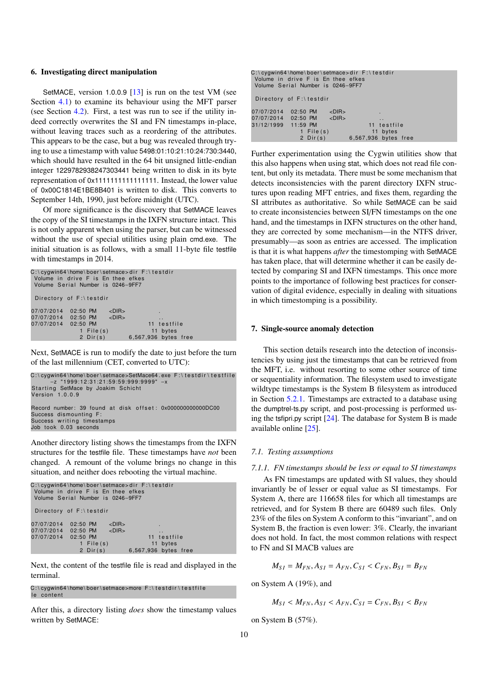#### <span id="page-9-0"></span>6. Investigating direct manipulation

SetMACE, version 1.0.0.9 [\[13\]](#page-11-13) is run on the test VM (see Section [4.1\)](#page-5-2) to examine its behaviour using the MFT parser (see Section [4.2\)](#page-5-3). First, a test was run to see if the utility indeed correctly overwrites the SI and FN timestamps in-place, without leaving traces such as a reordering of the attributes. This appears to be the case, but a bug was revealed through trying to use a timestamp with value 5498:01:10:21:10:24:730:3440, which should have resulted in the 64 bit unsigned little-endian integer 1229782938247303441 being written to disk in its byte representation of 0x1111111111111111. Instead, the lower value of 0x00C1814E1BE8B401 is written to disk. This converts to September 14th, 1990, just before midnight (UTC).

Of more significance is the discovery that SetMACE leaves the copy of the SI timestamps in the IXFN structure intact. This is not only apparent when using the parser, but can be witnessed without the use of special utilities using plain cmd.exe. The initial situation is as follows, with a small 11-byte file testfile with timestamps in 2014.

|                         | C:\cyqwin64\home\boer\setmace>dir F:\testdir<br>Volume in drive F is En thee efkes<br>Volume Serial Number is 0246-9FF7 |                      |  |
|-------------------------|-------------------------------------------------------------------------------------------------------------------------|----------------------|--|
| Directory of F:\testdir |                                                                                                                         |                      |  |
| 07/07/2014              | $<$ DIR $>$<br>$02:50$ PM                                                                                               |                      |  |
|                         | 07/07/2014 02:50 PM <dir></dir>                                                                                         | $\ddot{\phantom{0}}$ |  |
| 07/07/2014 02:50 PM     |                                                                                                                         | 11 testfile          |  |
|                         | 1 File $(s)$                                                                                                            | 11 bytes             |  |
|                         | 2 $Dir(s)$                                                                                                              | 6,567,936 bytes free |  |

Next, SetMACE is run to modify the date to just before the turn of the last millennium (CET, converted to UTC):

```
C:\cygwin64\home\boer\setmace>SetMace64.exe F:\testdir\testfile<br>-z "1999:12:31:21:59:59:999:9999" -x
Starting SetMace by Joakim Schicht
Version 1.0.0.9
Record number: 39 found at disk offset: 0x000000000000DC00
Success dismounting F
Success writing timestamps
Job took 0.03 seconds
```
Another directory listing shows the timestamps from the IXFN structures for the testfile file. These timestamps have *not* been changed. A remount of the volume brings no change in this situation, and neither does rebooting the virtual machine.

|                     | C:\cygwin64\home\boer\setmace>dir F:\testdir<br>Volume in drive F is En thee efkes<br>Volume Serial Number is 0246-9FF7 |             |                      |                      |  |
|---------------------|-------------------------------------------------------------------------------------------------------------------------|-------------|----------------------|----------------------|--|
|                     | Directory of F:\testdir                                                                                                 |             |                      |                      |  |
| 07/07/2014          | 02:50 PM                                                                                                                | $<$ DIR $>$ | ٠                    |                      |  |
|                     | 07/07/2014 02:50 PM <dir></dir>                                                                                         |             |                      | $\ddot{\phantom{0}}$ |  |
| 07/07/2014 02:50 PM |                                                                                                                         |             |                      | 11 testfile          |  |
|                     | 1 File $(s)$                                                                                                            |             |                      | 11 bytes             |  |
|                     | 2 $Dir(s)$                                                                                                              |             | 6,567,936 bytes free |                      |  |

Next, the content of the testfile file is read and displayed in the terminal.

 $C:\emptyset$  cygwin64\home\boer\setmace>more  $F:\emptyset$  testdir\testfile le content

After this, a directory listing *does* show the timestamp values written by SetMACE:

|                     | C:\cyqwin64\home\boer\setmace>dir F:\testdir<br>Volume in drive F is En thee efkes<br>Volume Serial Number is 0246-9FF7 |             |                      |                      |  |  |
|---------------------|-------------------------------------------------------------------------------------------------------------------------|-------------|----------------------|----------------------|--|--|
|                     | Directory of $F:\$ testdir                                                                                              |             |                      |                      |  |  |
| 07/07/2014          | 02:50 PM                                                                                                                | $<$ DIR $>$ |                      |                      |  |  |
|                     | 07/07/2014 02:50 PM <dir></dir>                                                                                         |             |                      | $\ddot{\phantom{0}}$ |  |  |
| 31/12/1999 11:59 PM |                                                                                                                         |             |                      | 11 testfile          |  |  |
|                     | 1 File $(s)$                                                                                                            |             |                      | 11 bytes             |  |  |
|                     | 2 $Dir(s)$                                                                                                              |             | 6,567,936 bytes free |                      |  |  |

Further experimentation using the Cygwin utilities show that this also happens when using stat, which does not read file content, but only its metadata. There must be some mechanism that detects inconsistencies with the parent directory IXFN structures upon reading MFT entries, and fixes them, regarding the SI attributes as authoritative. So while SetMACE can be said to create inconsistencies between SI/FN timestamps on the one hand, and the timestamps in IXFN structures on the other hand, they are corrected by some mechanism—in the NTFS driver, presumably—as soon as entries are accessed. The implication is that it is what happens *after* the timestomping with SetMACE has taken place, that will determine whether it can be easily detected by comparing SI and IXFN timestamps. This once more points to the importance of following best practices for conservation of digital evidence, especially in dealing with situations in which timestomping is a possibility.

#### <span id="page-9-1"></span>7. Single-source anomaly detection

This section details research into the detection of inconsistencies by using just the timestamps that can be retrieved from the MFT, i.e. without resorting to some other source of time or sequentiality information. The filesystem used to investigate wildtype timestamps is the System B filesystem as introduced in Section [5.2.1.](#page-8-3) Timestamps are extracted to a database using the dumptrel-ts.py script, and post-processing is performed using the tsfipri.py script [\[24\]](#page-11-24). The database for System B is made available online [\[25\]](#page-11-25).

## <span id="page-9-2"></span>*7.1. Testing assumptions*

## <span id="page-9-3"></span>*7.1.1. FN timestamps should be less or equal to SI timestamps*

As FN timestamps are updated with SI values, they should invariantly be of lesser or equal value as SI timestamps. For System A, there are 116658 files for which all timestamps are retrieved, and for System B there are 60489 such files. Only 23% of the files on System A conform to this "invariant", and on System B, the fraction is even lower: 3%. Clearly, the invariant does not hold. In fact, the most common relations with respect to FN and SI MACB values are

$$
M_{SI} = M_{FN}, A_{SI} = A_{FN}, C_{SI} < C_{FN}, B_{SI} = B_{FN}
$$

on System A (19%), and

$$
M_{SI} < M_{FN}, A_{SI} < A_{FN}, C_{SI} = C_{FN}, B_{SI} < B_{FN}
$$

on System B (57%).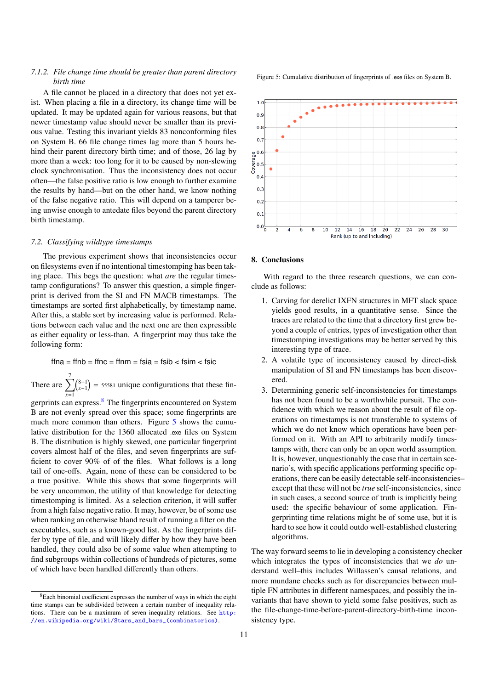## <span id="page-10-0"></span>*7.1.2. File change time should be greater than parent directory birth time*

A file cannot be placed in a directory that does not yet exist. When placing a file in a directory, its change time will be updated. It may be updated again for various reasons, but that newer timestamp value should never be smaller than its previous value. Testing this invariant yields 83 nonconforming files on System B. 66 file change times lag more than 5 hours behind their parent directory birth time; and of those, 26 lag by more than a week: too long for it to be caused by non-slewing clock synchronisation. Thus the inconsistency does not occur often—the false positive ratio is low enough to further examine the results by hand—but on the other hand, we know nothing of the false negative ratio. This will depend on a tamperer being unwise enough to antedate files beyond the parent directory birth timestamp.

## <span id="page-10-1"></span>*7.2. Classifying wildtype timestamps*

The previous experiment shows that inconsistencies occur on filesystems even if no intentional timestomping has been taking place. This begs the question: what *are* the regular timestamp configurations? To answer this question, a simple fingerprint is derived from the SI and FN MACB timestamps. The timestamps are sorted first alphabetically, by timestamp name. After this, a stable sort by increasing value is performed. Relations between each value and the next one are then expressible as either equality or less-than. A fingerprint may thus take the following form:

 $ffna = ffnb = ffnc = ffnm = fsia = fsib < fsim < fsice$ 

There are  $\sum_{n=1}^{7}$ *x*=1  $\binom{8-1}{x-1}$  = 55581 unique configurations that these fin-

gerprints can express.<sup>[8](#page-10-3)</sup> The fingerprints encountered on System B are not evenly spread over this space; some fingerprints are much more common than others. Figure [5](#page-10-4) shows the cumulative distribution for the 1360 allocated .exe files on System B. The distribution is highly skewed, one particular fingerprint covers almost half of the files, and seven fingerprints are sufficient to cover 90% of of the files. What follows is a long tail of one-offs. Again, none of these can be considered to be a true positive. While this shows that some fingerprints will be very uncommon, the utility of that knowledge for detecting timestomping is limited. As a selection criterion, it will suffer from a high false negative ratio. It may, however, be of some use when ranking an otherwise bland result of running a filter on the executables, such as a known-good list. As the fingerprints differ by type of file, and will likely differ by how they have been handled, they could also be of some value when attempting to find subgroups within collections of hundreds of pictures, some of which have been handled differently than others.

<span id="page-10-4"></span>Figure 5: Cumulative distribution of fingerprints of .exe files on System B.



## <span id="page-10-2"></span>8. Conclusions

With regard to the three research questions, we can conclude as follows:

- 1. Carving for derelict IXFN structures in MFT slack space yields good results, in a quantitative sense. Since the traces are related to the time that a directory first grew beyond a couple of entries, types of investigation other than timestomping investigations may be better served by this interesting type of trace.
- 2. A volatile type of inconsistency caused by direct-disk manipulation of SI and FN timestamps has been discovered.
- 3. Determining generic self-inconsistencies for timestamps has not been found to be a worthwhile pursuit. The confidence with which we reason about the result of file operations on timestamps is not transferable to systems of which we do not know which operations have been performed on it. With an API to arbitrarily modify timestamps with, there can only be an open world assumption. It is, however, unquestionably the case that in certain scenario's, with specific applications performing specific operations, there can be easily detectable self-inconsistencies– except that these will not be *true* self-inconsistencies, since in such cases, a second source of truth is implicitly being used: the specific behaviour of some application. Fingerprinting time relations might be of some use, but it is hard to see how it could outdo well-established clustering algorithms.

The way forward seems to lie in developing a consistency checker which integrates the types of inconsistencies that we *do* understand well–this includes Willassen's causal relations, and more mundane checks such as for discrepancies between multiple FN attributes in different namespaces, and possibly the invariants that have shown to yield some false positives, such as the file-change-time-before-parent-directory-birth-time inconsistency type.

<span id="page-10-3"></span><sup>8</sup>Each binomial coefficient expresses the number of ways in which the eight time stamps can be subdivided between a certain number of inequality relations. There can be a maximum of seven inequality relations. See [http:](http://en.wikipedia.org/wiki/Stars_and_bars_(combinatorics)) [//en.wikipedia.org/wiki/Stars\\_and\\_bars\\_\(combinatorics\)](http://en.wikipedia.org/wiki/Stars_and_bars_(combinatorics)).